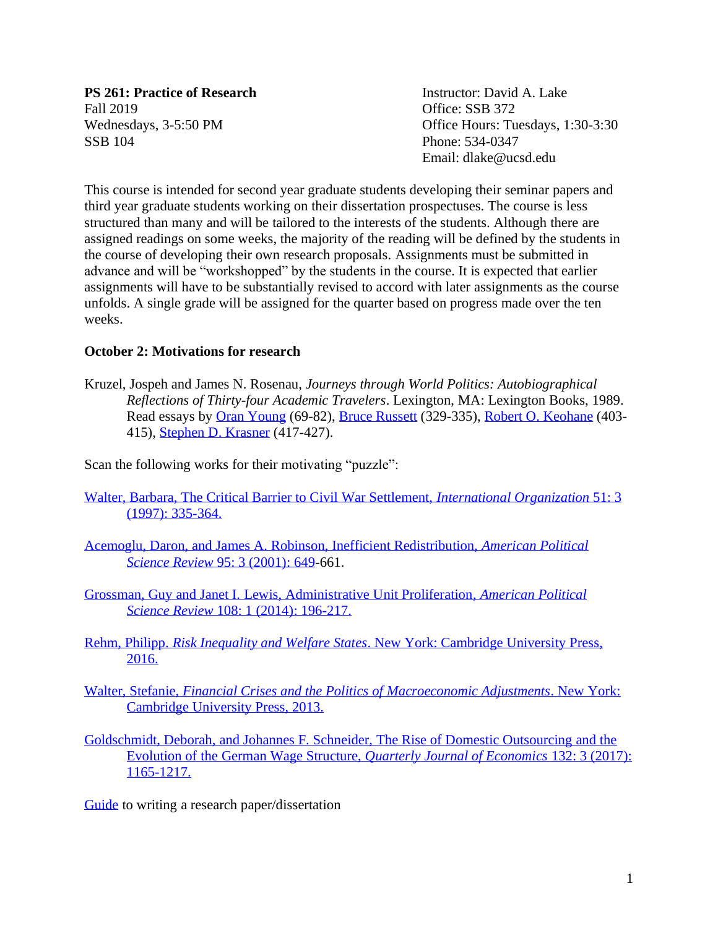**PS 261: Practice of Research Instructor: David A. Lake** Fall 2019 **Office: SSB 372** SSB 104 Phone: 534-0347

Wednesdays, 3-5:50 PM Office Hours: Tuesdays, 1:30-3:30 Email: dlake@ucsd.edu

This course is intended for second year graduate students developing their seminar papers and third year graduate students working on their dissertation prospectuses. The course is less structured than many and will be tailored to the interests of the students. Although there are assigned readings on some weeks, the majority of the reading will be defined by the students in the course of developing their own research proposals. Assignments must be submitted in advance and will be "workshopped" by the students in the course. It is expected that earlier assignments will have to be substantially revised to accord with later assignments as the course unfolds. A single grade will be assigned for the quarter based on progress made over the ten weeks.

# **October 2: Motivations for research**

Kruzel, Jospeh and James N. Rosenau, *Journeys through World Politics: Autobiographical Reflections of Thirty-four Academic Travelers*. Lexington, MA: Lexington Books, 1989. Read essays by [Oran Young](http://quote.ucsd.edu/lake/files/2019/09/Young-Reflections.pdf) (69-82), [Bruce Russett](http://quote.ucsd.edu/lake/files/2019/09/Russett-Reflections.pdf) (329-335), [Robert O. Keohane](http://quote.ucsd.edu/lake/files/2019/09/Keohane-Reflections.pdf) (403-415), [Stephen D. Krasner](http://quote.ucsd.edu/lake/files/2019/09/Krasner-Reflections.pdf) (417-427).

Scan the following works for their motivating "puzzle":

- [Walter, Barbara, The Critical Barrier to Civil War Settlement,](https://www.jstor.org/stable/2703607?seq=1#metadata_info_tab_contents) *International Organization* 51: 3 [\(1997\): 335-364.](https://www.jstor.org/stable/2703607?seq=1#metadata_info_tab_contents)
- [Acemoglu, Daron, and James A. Robinson, Inefficient Redistribution,](https://www.jstor.org/stable/3118239?origin=JSTOR-pdf&seq=1#metadata_info_tab_contents) *American Political Science Review* [95: 3 \(2001\): 649-](https://www.jstor.org/stable/3118239?origin=JSTOR-pdf&seq=1#metadata_info_tab_contents)661.
- [Grossman, Guy and Janet I. Lewis, Administrative Unit Proliferation,](https://www.cambridge.org/core/journals/american-political-science-review/article/administrative-unit-proliferation/28FB2861D809344D840B245100151918) *American Political Science Review* [108: 1 \(2014\): 196-217.](https://www.cambridge.org/core/journals/american-political-science-review/article/administrative-unit-proliferation/28FB2861D809344D840B245100151918)
- Rehm, Philipp. *Risk Inequality and Welfare States*[. New York: Cambridge University Press,](https://www.cambridge.org/core/books/risk-inequality-and-welfare-states/BA551CCF5CE011390D925B8DE5212ACE)  [2016.](https://www.cambridge.org/core/books/risk-inequality-and-welfare-states/BA551CCF5CE011390D925B8DE5212ACE)
- Walter, Stefanie, *[Financial Crises and the Politics of Macroeconomic Adjustments](https://ebookcentral.proquest.com/lib/ucsd/detail.action?docID=1303673)*. New York: [Cambridge University Press, 2013.](https://ebookcentral.proquest.com/lib/ucsd/detail.action?docID=1303673)
- [Goldschmidt, Deborah, and Johannes F. Schneider, The Rise of Domestic Outsourcing and the](https://academic.oup.com/qje/article/132/3/1165/3746069)  [Evolution of the German Wage Structure,](https://academic.oup.com/qje/article/132/3/1165/3746069) *Quarterly Journal of Economics* 132: 3 (2017): [1165-1217.](https://academic.oup.com/qje/article/132/3/1165/3746069)

[Guide](http://quote.ucsd.edu/lake/files/2019/09/Guide-to-writing-a-scientific-paper-2019.pdf) to writing a research paper/dissertation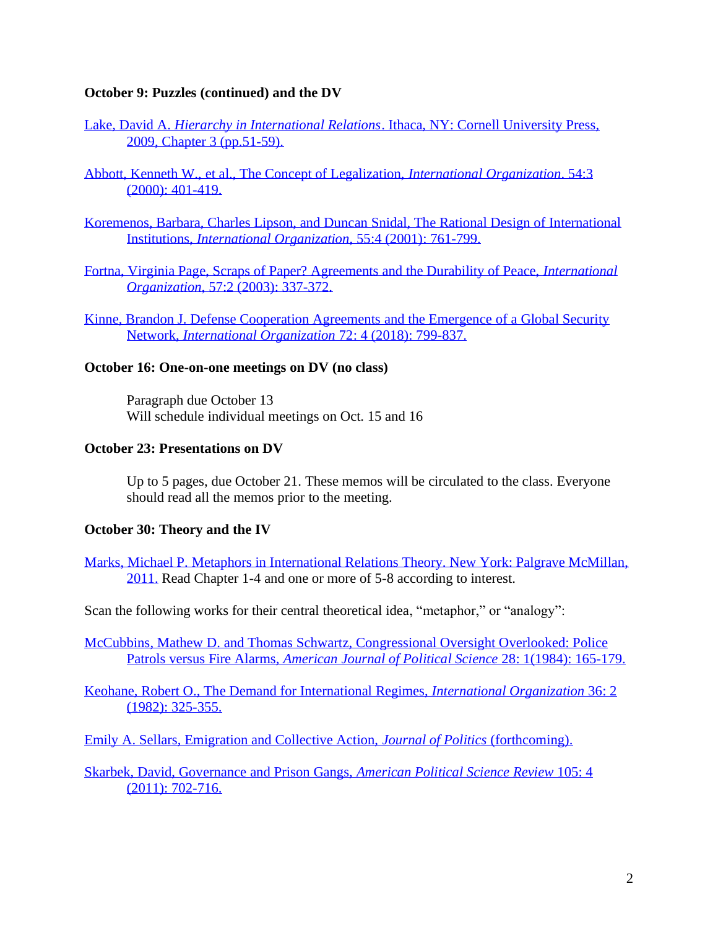## **October 9: Puzzles (continued) and the DV**

- Lake, David A. *Hierarchy in International Relations*[. Ithaca, NY: Cornell University Press,](https://ebookcentral.proquest.com/lib/ucsd/detail.action?docID=3137946)  [2009, Chapter 3 \(pp.51-59\).](https://ebookcentral.proquest.com/lib/ucsd/detail.action?docID=3137946)
- [Abbott, Kenneth W., et al., The Concept of Legalization,](https://www.jstor.org/stable/2601339?seq=1#metadata_info_tab_contents) *International Organization*. 54:3 [\(2000\): 401-419.](https://www.jstor.org/stable/2601339?seq=1#metadata_info_tab_contents)
- [Koremenos, Barbara, Charles Lipson, and Duncan Snidal, The Rational Design of International](https://www.jstor.org/stable/3078615?seq=3#metadata_info_tab_contents)  Institutions, *[International Organization](https://www.jstor.org/stable/3078615?seq=3#metadata_info_tab_contents)*, 55:4 (2001): 761-799.
- [Fortna, Virginia Page, Scraps of Paper? Agreements and the Durability of Peace,](https://www.cambridge.org/core/journals/international-organization/article/scraps-of-paper-agreements-and-the-durability-of-peace/70A924CC6B4785C30BADF415244FFA1F) *International Organization*, [57:2 \(2003\): 337-372.](https://www.cambridge.org/core/journals/international-organization/article/scraps-of-paper-agreements-and-the-durability-of-peace/70A924CC6B4785C30BADF415244FFA1F)
- [Kinne, Brandon J. Defense Cooperation Agreements and the Emergence](https://www.cambridge.org/core/journals/international-organization/article/defense-cooperation-agreements-and-the-emergence-of-a-global-security-network/76662383DB9CA3D26BE4FA883E5C95A2) of a Global Security Network, *[International Organization](https://www.cambridge.org/core/journals/international-organization/article/defense-cooperation-agreements-and-the-emergence-of-a-global-security-network/76662383DB9CA3D26BE4FA883E5C95A2)* 72: 4 (2018): 799-837.

## **October 16: One-on-one meetings on DV (no class)**

Paragraph due October 13 Will schedule individual meetings on Oct. 15 and 16

## **October 23: Presentations on DV**

Up to 5 pages, due October 21. These memos will be circulated to the class. Everyone should read all the memos prior to the meeting.

## **October 30: Theory and the IV**

[Marks, Michael P. Metaphors in International Relations Theory. New York: Palgrave McMillan,](https://link.springer.com/book/10.1007%2F978-3-319-71201-7)  [2011.](https://link.springer.com/book/10.1007%2F978-3-319-71201-7) Read Chapter 1-4 and one or more of 5-8 according to interest.

Scan the following works for their central theoretical idea, "metaphor," or "analogy":

McCubbins, Mathew D. [and Thomas Schwartz, Congressional Oversight Overlooked: Police](https://www.jstor.org/stable/2110792?seq=1#metadata_info_tab_contents)  Patrols versus Fire Alarms, *[American Journal of Political Science](https://www.jstor.org/stable/2110792?seq=1#metadata_info_tab_contents)* 28: 1(1984): 165-179.

[Keohane, Robert O., The Demand for International Regimes,](https://www.jstor.org/stable/2706525?seq=1#metadata_info_tab_contents) *International Organization* 36: 2 [\(1982\): 325-355.](https://www.jstor.org/stable/2706525?seq=1#metadata_info_tab_contents)

[Emily A. Sellars, Emigration and Collective Action,](https://www.journals.uchicago.edu/doi/abs/10.1086/704697?mobileUi=0) *Journal of Politics* (forthcoming).

[Skarbek, David, Governance and Prison Gangs,](https://www.cambridge.org/core/services/aop-cambridge-core/content/view/3CF8FD3BC0BBE774F94F850B5D8311A9/S0003055411000335a.pdf/governance_and_prison_gangs.pdf) *American Political Science Review* 105: 4 [\(2011\): 702-716.](https://www.cambridge.org/core/services/aop-cambridge-core/content/view/3CF8FD3BC0BBE774F94F850B5D8311A9/S0003055411000335a.pdf/governance_and_prison_gangs.pdf)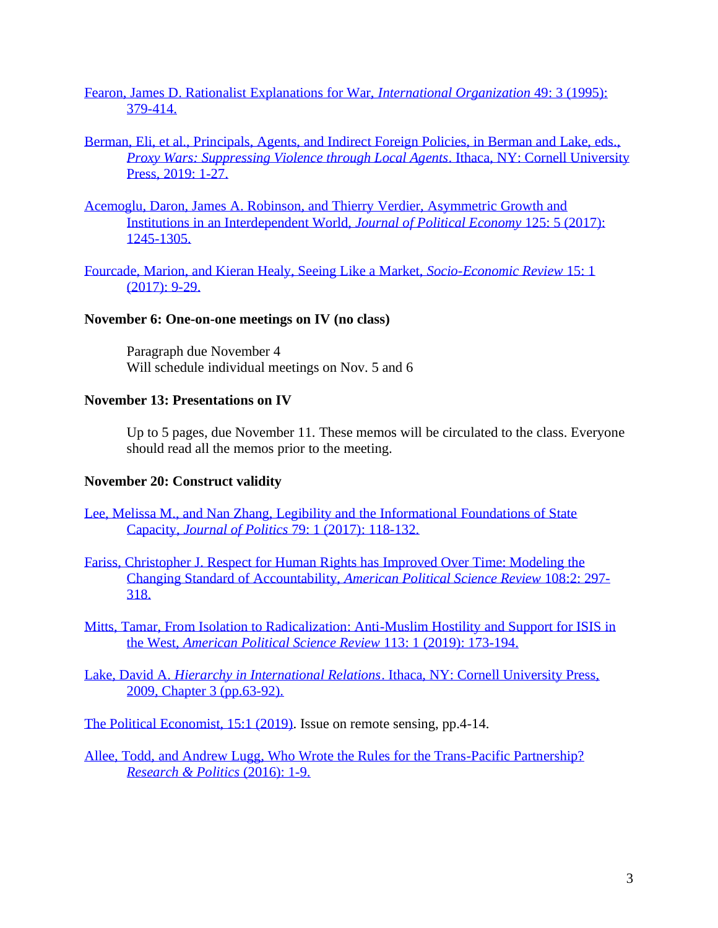[Fearon, James D. Rationalist Explanations for War,](https://www.jstor.org/stable/2706903?seq=1#metadata_info_tab_contents) *International Organization* 49: 3 (1995): [379-414.](https://www.jstor.org/stable/2706903?seq=1#metadata_info_tab_contents)

# [Berman, Eli, et al., Principals, Agents, and Indirect Foreign Policies, in Berman and Lake, eds.,](https://www.jstor.org/stable/10.7591/j.ctvvndp0.5?refreqid=excelsior%3A91fce4ab6a5ac32cc5462344ad917bcd&seq=1#metadata_info_tab_contents)  *[Proxy Wars: Suppressing Violence through Local Agents](https://www.jstor.org/stable/10.7591/j.ctvvndp0.5?refreqid=excelsior%3A91fce4ab6a5ac32cc5462344ad917bcd&seq=1#metadata_info_tab_contents)*. Ithaca, NY: Cornell University [Press, 2019: 1-27.](https://www.jstor.org/stable/10.7591/j.ctvvndp0.5?refreqid=excelsior%3A91fce4ab6a5ac32cc5462344ad917bcd&seq=1#metadata_info_tab_contents)

[Acemoglu, Daron, James A. Robinson, and Thierry Verdier, Asymmetric Growth and](https://www.journals.uchicago.edu/doi/10.1086/693038?mobileUi=0)  [Institutions in an Interdependent World,](https://www.journals.uchicago.edu/doi/10.1086/693038?mobileUi=0) *Journal of Political Economy* 125: 5 (2017): [1245-1305.](https://www.journals.uchicago.edu/doi/10.1086/693038?mobileUi=0)

[Fourcade, Marion, and Kieran Healy, Seeing Like a Market,](https://kieranhealy.org/files/papers/slam-2.pdf) *Socio-Economic Review* 15: 1 [\(2017\): 9-29.](https://kieranhealy.org/files/papers/slam-2.pdf)

#### **November 6: One-on-one meetings on IV (no class)**

Paragraph due November 4 Will schedule individual meetings on Nov. 5 and 6

#### **November 13: Presentations on IV**

Up to 5 pages, due November 11. These memos will be circulated to the class. Everyone should read all the memos prior to the meeting.

## **November 20: Construct validity**

- [Lee, Melissa M., and Nan Zhang, Legibility and the Informational Foundations of State](https://www.journals.uchicago.edu/doi/pdfplus/10.1086/688053)  Capacity, *Journal of Politics* [79: 1 \(2017\): 118-132.](https://www.journals.uchicago.edu/doi/pdfplus/10.1086/688053)
- [Fariss, Christopher J. Respect for Human Rights has Improved Over Time: Modeling the](http://cfariss.com/documents/Fariss2014APSR.pdf)  [Changing Standard of Accountability,](http://cfariss.com/documents/Fariss2014APSR.pdf) *American Political Science Review* 108:2: 297- [318.](http://cfariss.com/documents/Fariss2014APSR.pdf)
- [Mitts, Tamar, From Isolation to Radicalization: Anti-Muslim Hostility and Support for ISIS in](https://www.cambridge.org/core/journals/american-political-science-review/article/from-isolation-to-radicalization-antimuslim-hostility-and-support-for-isis-in-the-west/C11A754C706DB9F9CAD86D1486A9B97A)  the West, *[American Political Science Review](https://www.cambridge.org/core/journals/american-political-science-review/article/from-isolation-to-radicalization-antimuslim-hostility-and-support-for-isis-in-the-west/C11A754C706DB9F9CAD86D1486A9B97A)* 113: 1 (2019): 173-194.
- Lake, David A. *Hierarchy in International Relations*[. Ithaca, NY: Cornell University Press,](https://ebookcentral.proquest.com/lib/ucsd/detail.action?docID=3137946)  [2009, Chapter 3 \(pp.63-92\).](https://ebookcentral.proquest.com/lib/ucsd/detail.action?docID=3137946)

[The Political Economist, 15:1 \(2019\).](https://docs.google.com/viewer?a=v&pid=sites&srcid=dW1pY2guZWR1fHBvbGl0aWNhbC1lY29ub21pc3QtbmV3c2xldHRlcnxneDo1OTU5YzUyNTVmNzAxZTEx) Issue on remote sensing, pp.4-14.

[Allee, Todd, and Andrew Lugg, Who Wrote the Rules for the Trans-Pacific Partnership?](https://journals.sagepub.com/doi/pdf/10.1177/2053168016658919)  *[Research & Politics](https://journals.sagepub.com/doi/pdf/10.1177/2053168016658919)* (2016): 1-9.